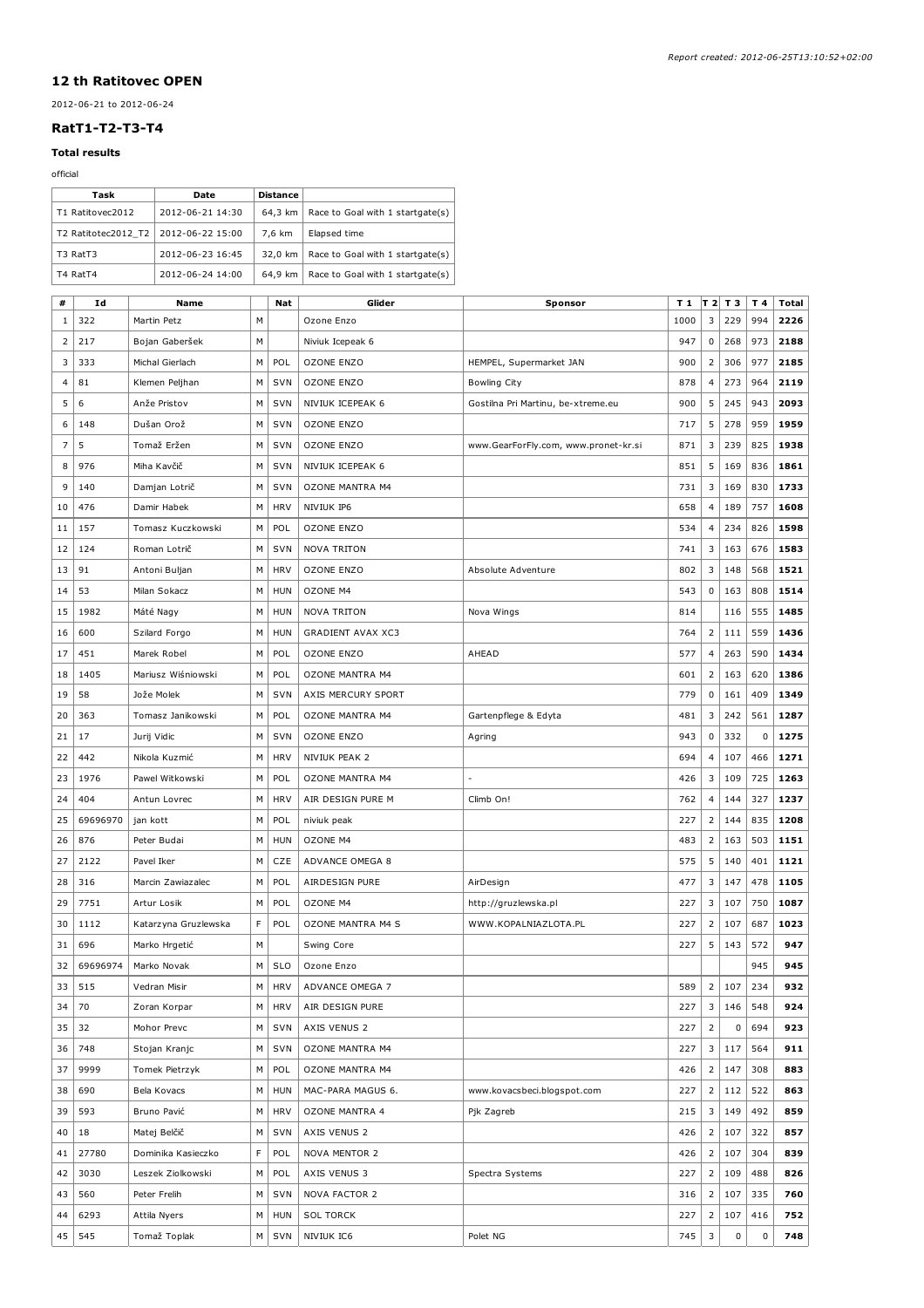## 12 th Ratitovec OPEN

## 2012-06-21 to 2012-06-24

## RatT1-T2-T3-T4

## Total results

| official                                |                              |                      |   |                                  |                                  |                                      |      |                |                |     |              |
|-----------------------------------------|------------------------------|----------------------|---|----------------------------------|----------------------------------|--------------------------------------|------|----------------|----------------|-----|--------------|
|                                         | Task                         | Date                 |   | Distance<br>64,3 km              |                                  |                                      |      |                |                |     |              |
| T1 Ratitovec2012<br>2012-06-21 14:30    |                              |                      |   |                                  | Race to Goal with 1 startgate(s) |                                      |      |                |                |     |              |
| T2 Ratitotec2012_T2<br>2012-06-22 15:00 |                              |                      |   | 7,6 km                           | Elapsed time                     |                                      |      |                |                |     |              |
|                                         | T3 RatT3<br>2012-06-23 16:45 |                      |   | 32,0 km<br>64,9 km               | Race to Goal with 1 startgate(s) |                                      |      |                |                |     |              |
| T4 RatT4<br>2012-06-24 14:00            |                              |                      |   | Race to Goal with 1 startgate(s) |                                  |                                      |      |                |                |     |              |
| #                                       | Id                           | Name                 |   | Nat                              | Glider                           | Sponsor                              | T 1  |                | <b>∣т2  т3</b> | T 4 | <b>Total</b> |
| 1                                       | 322                          | Martin Petz          | м |                                  | Ozone Enzo                       |                                      | 1000 | 3              | 229            | 994 | 2226         |
| 2                                       | 217                          | Bojan Gaberšek       | М |                                  | Niviuk Icepeak 6                 |                                      | 947  | 0              | 268            | 973 | 2188         |
| 3                                       | 333                          | Michal Gierlach      | М | POL                              | <b>OZONE ENZO</b>                | HEMPEL, Supermarket JAN              | 900  | 2              | 306            | 977 | 2185         |
| 4                                       | 81                           | Klemen Peljhan       | м | SVN                              | <b>OZONE ENZO</b>                | Bowling City                         | 878  | 4              | 273            | 964 | 2119         |
| 5                                       | 6                            | Anže Pristov         | м | <b>SVN</b>                       | NIVIUK ICEPEAK 6                 | Gostilna Pri Martinu, be-xtreme.eu   | 900  | 5              | 245            | 943 | 2093         |
| 6                                       | 148                          | Dušan Orož           | м | SVN                              | <b>OZONE ENZO</b>                |                                      | 717  | 5              | 278            | 959 | 1959         |
| $\overline{7}$                          | 5                            | Tomaž Eržen          | м | SVN                              | <b>OZONE ENZO</b>                | www.GearForFly.com, www.pronet-kr.si | 871  | 3              | 239            | 825 | 1938         |
| 8                                       | 976                          | Miha Kavčič          | м | SVN                              | NIVIUK ICEPEAK 6                 |                                      | 851  | 5              | 169            | 836 | 1861         |
| 9                                       | 140                          | Damjan Lotrič        | м | SVN                              | <b>OZONE MANTRA M4</b>           |                                      | 731  | 3              | 169            | 830 | 1733         |
| 10                                      | 476                          | Damir Habek          | м | <b>HRV</b>                       | NIVIUK IP6                       |                                      | 658  | $\overline{4}$ | 189            | 757 | 1608         |
| 11                                      | 157                          | Tomasz Kuczkowski    | м | POL                              | <b>OZONE ENZO</b>                |                                      | 534  | 4              | 234            | 826 | 1598         |
| 12                                      | 124                          | Roman Lotrič         | м | <b>SVN</b>                       | <b>NOVA TRITON</b>               |                                      | 741  | 3              | 163            | 676 | 1583         |
| 13                                      | 91                           | Antoni Buljan        | м | <b>HRV</b>                       | <b>OZONE ENZO</b>                | Absolute Adventure                   | 802  | 3              | 148            | 568 | 1521         |
| 14                                      | 53                           | Milan Sokacz         | м | <b>HUN</b>                       | OZONE M4                         |                                      | 543  | 0              | 163            | 808 | 1514         |
| 15                                      | 1982                         | Máté Nagy            | м | <b>HUN</b>                       | <b>NOVA TRITON</b>               | Nova Wings                           | 814  |                | 116            | 555 | 1485         |
| 16                                      | 600                          | Szilard Forgo        | м | <b>HUN</b>                       | <b>GRADIENT AVAX XC3</b>         |                                      | 764  | 2              | 111            | 559 | 1436         |
| 17                                      | 451                          | Marek Robel          | м | POL                              | <b>OZONE ENZO</b>                | AHEAD                                | 577  | $\overline{a}$ | 263            | 590 | 1434         |
| 18                                      | 1405                         | Mariusz Wiśniowski   | м | POL                              | <b>OZONE MANTRA M4</b>           |                                      | 601  | 2              | 163            | 620 | 1386         |
| 19                                      | 58                           | Jože Molek           | М | SVN                              | AXIS MERCURY SPORT               |                                      | 779  | 0              | 161            | 409 | 1349         |
| 20                                      | 363                          | Tomasz Janikowski    | м | POL                              | <b>OZONE MANTRA M4</b>           | Gartenpflege & Edyta                 | 481  | 3              | 242            | 561 | 1287         |
| 21                                      | 17                           | Jurij Vidic          | м | SVN                              | <b>OZONE ENZO</b>                | Agring                               | 943  | 0              | 332            | 0   | 1275         |
| 22                                      | 442                          | Nikola Kuzmić        | м | <b>HRV</b>                       | NIVIUK PEAK 2                    |                                      | 694  | 4              | 107            | 466 | 1271         |
| 23                                      | 1976                         | Pawel Witkowski      | м | POL                              | <b>OZONE MANTRA M4</b>           |                                      | 426  | 3              | 109            | 725 | 1263         |
| 24                                      | 404                          | Antun Lovrec         | м | <b>HRV</b>                       | AIR DESIGN PURE M                | Climb On!                            | 762  | 4              | 144            | 327 | 1237         |
| 25                                      | 69696970                     | jan kott             | м | POL                              | niviuk peak                      |                                      | 227  | 2              | 144            | 835 | 1208         |
| 26                                      | 876                          | Peter Budai          | м | <b>HUN</b>                       | OZONE M4                         |                                      | 483  | 2              | 163            | 503 | 1151         |
| 27                                      | 2122                         | Pavel Iker           | M | CZE                              | ADVANCE OMEGA 8                  |                                      | 575  | 5              | 140            | 401 | 1121         |
| 28                                      | 316                          | Marcin Zawiazalec    | м | POL                              | AIRDESIGN PURE                   | AirDesign                            | 477  | 3              | 147            | 478 | 1105         |
| 29                                      | 7751                         | Artur Losik          | м | POL                              | OZONE M4                         | http://gruzlewska.pl                 | 227  | 3              | 107            | 750 | 1087         |
| 30                                      | 1112                         | Katarzyna Gruzlewska | F | POL                              | OZONE MANTRA M4 S                | WWW.KOPALNIAZLOTA.PL                 | 227  | 2              | 107            | 687 | 1023         |
| 31                                      | 696                          | Marko Hrgetić        | м |                                  | Swing Core                       |                                      | 227  | 5              | 143            | 572 | 947          |
| 32                                      | 69696974                     | Marko Novak          | М | <b>SLO</b>                       | Ozone Enzo                       |                                      |      |                |                | 945 | 945          |
| 33                                      | 515                          | Vedran Misir         | м | <b>HRV</b>                       | ADVANCE OMEGA 7                  |                                      | 589  | $\overline{2}$ | 107            | 234 | 932          |
| 34                                      | 70                           | Zoran Korpar         | м | <b>HRV</b>                       | AIR DESIGN PURE                  |                                      | 227  | 3              | 146            | 548 | 924          |
| 35                                      | 32                           | Mohor Prevc          | м | SVN                              | AXIS VENUS 2                     |                                      | 227  | 2              | 0              | 694 | 923          |
| 36                                      | 748                          | Stojan Kranjc        | м | SVN                              | <b>OZONE MANTRA M4</b>           |                                      | 227  | 3              | 117            | 564 | 911          |
| 37                                      | 9999                         | Tomek Pietrzyk       | м | POL                              | OZONE MANTRA M4                  |                                      | 426  | 2              | 147            | 308 | 883          |
| 38                                      | 690                          | Bela Kovacs          | м | HUN                              | MAC-PARA MAGUS 6.                | www.kovacsbeci.blogspot.com          | 227  | 2              | 112            | 522 | 863          |
| 39                                      | 593                          | Bruno Pavić          | м | <b>HRV</b>                       | <b>OZONE MANTRA 4</b>            | Pjk Zagreb                           | 215  | 3              | 149            | 492 | 859          |
| 40                                      | 18                           | Matej Belčič         | м | SVN                              | AXIS VENUS 2                     |                                      | 426  | 2              | 107            | 322 | 857          |
| 41                                      | 27780                        | Dominika Kasieczko   | F | POL                              | NOVA MENTOR 2                    |                                      | 426  | 2              | 107            | 304 | 839          |
| 42                                      | 3030                         | Leszek Ziolkowski    | м | POL                              | AXIS VENUS 3                     | Spectra Systems                      | 227  | 2              | 109            | 488 | 826          |
| 43                                      | 560                          | Peter Frelih         | M | SVN                              | <b>NOVA FACTOR 2</b>             |                                      | 316  | $\overline{2}$ | 107            | 335 | 760          |
|                                         |                              |                      |   |                                  |                                  |                                      |      |                |                |     |              |

44 6293 Attila Nyers M HUN SOL TORCK 227 2 107 416 752 45 545 Tomaž Toplak M SVN NIVIUK IC6 Polet NG 745 3 0 0 748